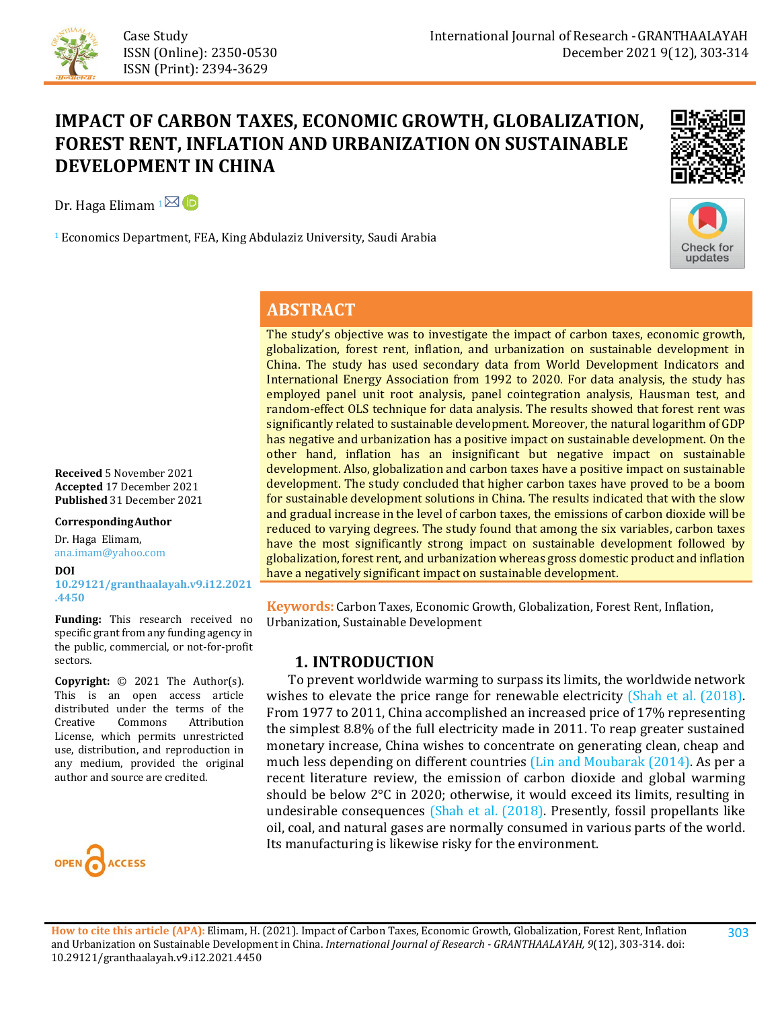

# **IMPACT OF CARBON TAXES, ECONOMIC GROWTH, GLOBALIZATION, FOREST RENT, INFLATION AND URBANIZATION ON SUSTAINABLE DEVELOPMENT IN CHINA**

Dr. Haga Elimam  $1\overline{\boxtimes}$  (D)

<sup>1</sup> Economics Department, FEA, King Abdulaziz University, Saudi Arabia



**Check for** updates

#### **ABSTRACT**

The study's objective was to investigate the impact of carbon taxes, economic growth, globalization, forest rent, inflation, and urbanization on sustainable development in China. The study has used secondary data from World Development Indicators and International Energy Association from 1992 to 2020. For data analysis, the study has employed panel unit root analysis, panel cointegration analysis, Hausman test, and random-effect OLS technique for data analysis. The results showed that forest rent was significantly related to sustainable development. Moreover, the natural logarithm of GDP has negative and urbanization has a positive impact on sustainable development. On the other hand, inflation has an insignificant but negative impact on sustainable development. Also, globalization and carbon taxes have a positive impact on sustainable development. The study concluded that higher carbon taxes have proved to be a boom for sustainable development solutions in China. The results indicated that with the slow and gradual increase in the level of carbon taxes, the emissions of carbon dioxide will be reduced to varying degrees. The study found that among the six variables, carbon taxes have the most significantly strong impact on sustainable development followed by globalization, forest rent, and urbanization whereas gross domestic product and inflation have a negatively significant impact on sustainable development.

**Keywords:** Carbon Taxes, Economic Growth, Globalization, Forest Rent, Inflation, Urbanization, Sustainable Development

#### **1. INTRODUCTION**

 To prevent worldwide warming to surpass its limits, the worldwide network wishes to elevate the price range for renewable electricity [\(Shah et al. \(2018\).](#page-10-0) From 1977 to 2011, China accomplished an increased price of 17% representing the simplest 8.8% of the full electricity made in 2011. To reap greater sustained monetary increase, China wishes to concentrate on generating clean, cheap and much less depending on different countries (Lin and [Moubarak \(2014\).](#page-10-1) As per a recent literature review, the emission of carbon dioxide and global warming should be below 2°C in 2020; otherwise, it would exceed its limits, resulting in undesirable consequences [\(Shah et al. \(2018\).](#page-10-0) Presently, fossil propellants like oil, coal, and natural gases are normally consumed in various parts of the world. Its manufacturing is likewise risky for the environment.

**Received** 5 November 2021 **Accepted** 17 December 2021 **Published** 31 December 2021

#### **CorrespondingAuthor**

Dr. Haga Elimam, ana.imam@yahoo.com

#### **DOI [10.29121/granthaalayah.v9.i12.2021](https://dx.doi.org/10.29121/granthaalayah.v9.i12.2021.4450) [.4450](https://dx.doi.org/10.29121/granthaalayah.v9.i12.2021.4450)**

**Funding:** This research received no specific grant from any funding agency in the public, commercial, or not-for-profit sectors.

**Copyright:** © 2021 The Author(s). This is an open access article distributed under the terms of the<br>Creative Commons Attribution Attribution License, which permits unrestricted use, distribution, and reproduction in any medium, provided the original author and source are credited.



303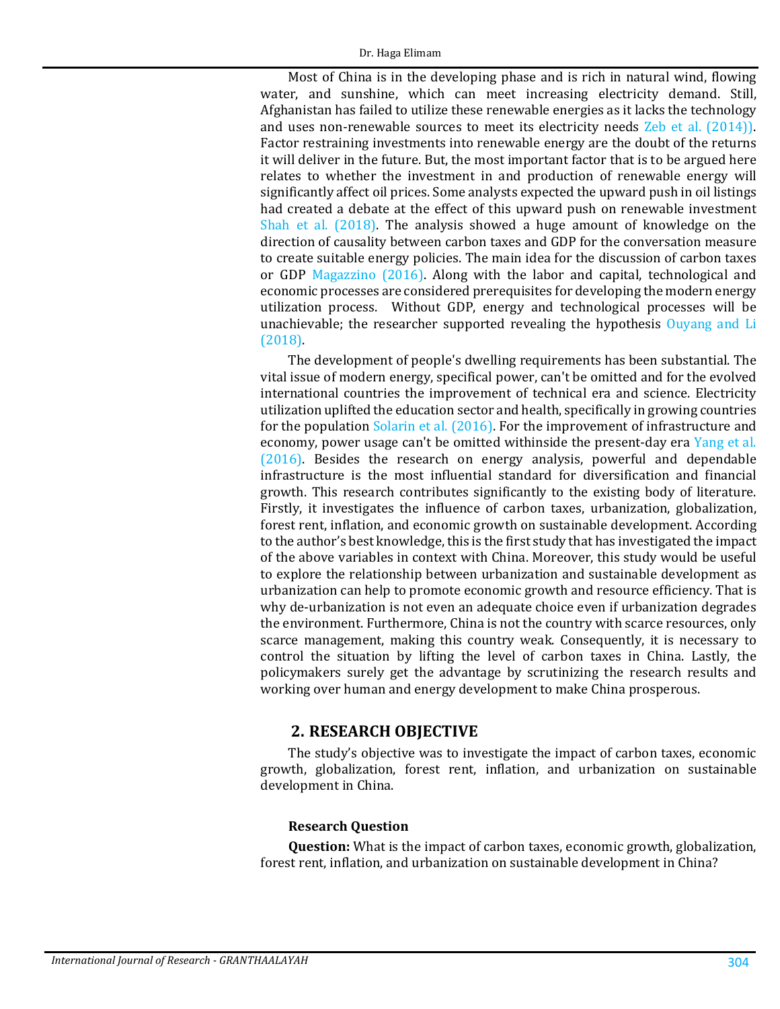Most of China is in the developing phase and is rich in natural wind, flowing water, and sunshine, which can meet increasing electricity demand. Still, Afghanistan has failed to utilize these renewable energies as it lacks the technology and uses non-renewable sources to meet its electricity needs [Zeb et al. \(2014\)\)](#page-11-0). Factor restraining investments into renewable energy are the doubt of the returns it will deliver in the future. But, the most important factor that is to be argued here relates to whether the investment in and production of renewable energy will significantly affect oil prices. Some analysts expected the upward push in oil listings had created a debate at the effect of this upward push on renewable investment Shah [et al. \(2018\).](#page-10-0) The analysis showed a huge amount of knowledge on the direction of causality between carbon taxes and GDP for the conversation measure to create suitable energy policies. The main idea for the discussion of carbon taxes or GDP [Magazzino \(2016\).](#page-10-2) Along with the labor and capital, technological and economic processes are considered prerequisites for developing the modern energy utilization process. Without GDP, energy and technological processes will be unachievable; the researcher supported revealing the hypothesis [Ouyang and Li](#page-10-3)  [\(2018\).](#page-10-3)

The development of people's dwelling requirements has been substantial. The vital issue of modern energy, specifical power, can't be omitted and for the evolved international countries the improvement of technical era and science. Electricity utilization uplifted the education sector and health, specifically in growing countries for the population [Solarin et al. \(2016\).](#page-10-4) For the improvement of infrastructure and economy, power usage can't be omitted withinside the present-day era [Yang et al.](#page-10-5)  [\(2016\).](#page-10-5) Besides the research on energy analysis, powerful and dependable infrastructure is the most influential standard for diversification and financial growth. This research contributes significantly to the existing body of literature. Firstly, it investigates the influence of carbon taxes, urbanization, globalization, forest rent, inflation, and economic growth on sustainable development. According to the author's best knowledge, this is the first study that has investigated the impact of the above variables in context with China. Moreover, this study would be useful to explore the relationship between urbanization and sustainable development as urbanization can help to promote economic growth and resource efficiency. That is why de-urbanization is not even an adequate choice even if urbanization degrades the environment. Furthermore, China is not the country with scarce resources, only scarce management, making this country weak. Consequently, it is necessary to control the situation by lifting the level of carbon taxes in China. Lastly, the policymakers surely get the advantage by scrutinizing the research results and working over human and energy development to make China prosperous.

#### **2. RESEARCH OBJECTIVE**

The study's objective was to investigate the impact of carbon taxes, economic growth, globalization, forest rent, inflation, and urbanization on sustainable development in China.

#### **Research Question**

**Question:** What is the impact of carbon taxes, economic growth, globalization, forest rent, inflation, and urbanization on sustainable development in China?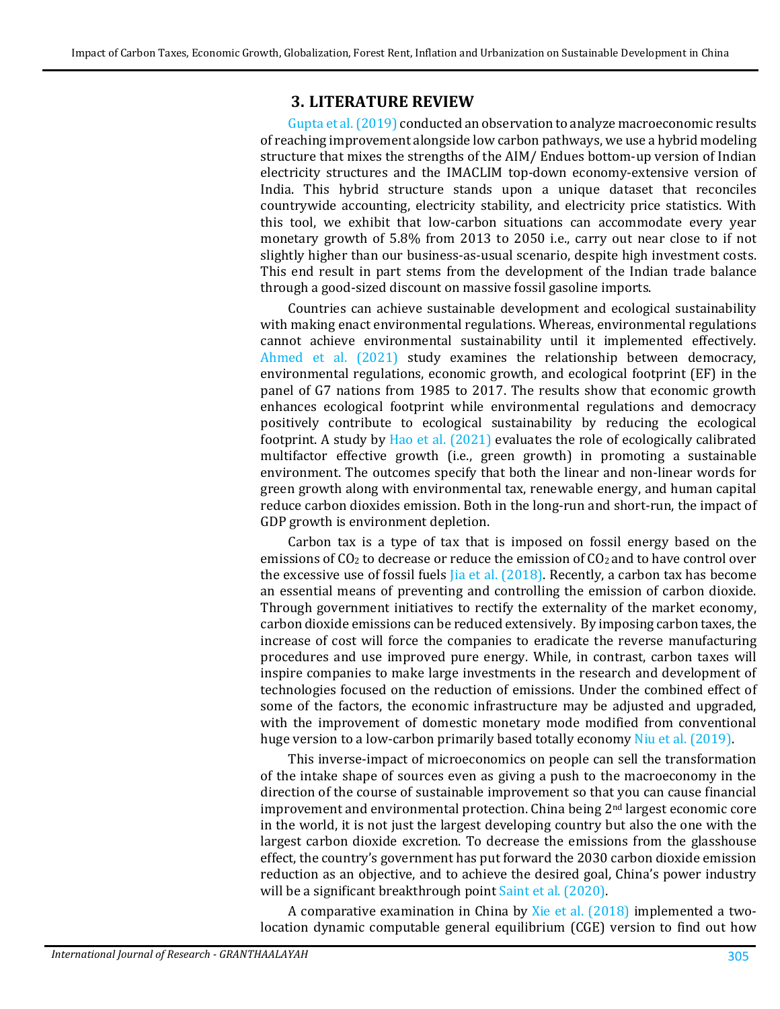#### **3. LITERATURE REVIEW**

[Gupta et al. \(2019\)](#page-9-0) conducted an observation to analyze macroeconomic results of reaching improvement alongside low carbon pathways, we use a hybrid modeling structure that mixes the strengths of the AIM/ Endues bottom-up version of Indian electricity structures and the IMACLIM top-down economy-extensive version of India. This hybrid structure stands upon a unique dataset that reconciles countrywide accounting, electricity stability, and electricity price statistics. With this tool, we exhibit that low-carbon situations can accommodate every year monetary growth of 5.8% from 2013 to 2050 i.e., carry out near close to if not slightly higher than our business-as-usual scenario, despite high investment costs. This end result in part stems from the development of the Indian trade balance through a good-sized discount on massive fossil gasoline imports.

Countries can achieve sustainable development and ecological sustainability with making enact environmental regulations. Whereas, environmental regulations cannot achieve environmental sustainability until it implemented effectively. [Ahmed et al. \(2021\)](#page-9-1) study examines the relationship between democracy, environmental regulations, economic growth, and ecological footprint (EF) in the panel of G7 nations from 1985 to 2017. The results show that economic growth enhances ecological footprint while environmental regulations and democracy positively contribute to ecological sustainability by reducing the ecological footprint. A study by [Hao et al. \(2021\)](#page-9-2) evaluates the role of ecologically calibrated multifactor effective growth (i.e., green growth) in promoting a sustainable environment. The outcomes specify that both the linear and non-linear words for green growth along with environmental tax, renewable energy, and human capital reduce carbon dioxides emission. Both in the long-run and short-run, the impact of GDP growth is environment depletion.

Carbon tax is a type of tax that is imposed on fossil energy based on the emissions of  $CO<sub>2</sub>$  to decrease or reduce the emission of  $CO<sub>2</sub>$  and to have control over the excessive use of fossil fuels  $[ia]$  et al.  $(2018)$ . Recently, a carbon tax has become an essential means of preventing and controlling the emission of carbon dioxide. Through government initiatives to rectify the externality of the market economy, carbon dioxide emissions can be reduced extensively. By imposing carbon taxes, the increase of cost will force the companies to eradicate the reverse manufacturing procedures and use improved pure energy. While, in contrast, carbon taxes will inspire companies to make large investments in the research and development of technologies focused on the reduction of emissions. Under the combined effect of some of the factors, the economic infrastructure may be adjusted and upgraded, with the improvement of domestic monetary mode modified from conventional huge version to a low-carbon primarily based totally economy [Niu et al. \(2019\).](#page-10-7)

This inverse-impact of microeconomics on people can sell the transformation of the intake shape of sources even as giving a push to the macroeconomy in the direction of the course of sustainable improvement so that you can cause financial improvement and environmental protection. China being 2nd largest economic core in the world, it is not just the largest developing country but also the one with the largest carbon dioxide excretion. To decrease the emissions from the glasshouse effect, the country's government has put forward the 2030 carbon dioxide emission reduction as an objective, and to achieve the desired goal, China's power industry will be a significant breakthrough point [Saint et al. \(2020\).](#page-10-8)

A comparative examination in China by [Xie et al. \(2018\)](#page-10-9) implemented a twolocation dynamic computable general equilibrium (CGE) version to find out how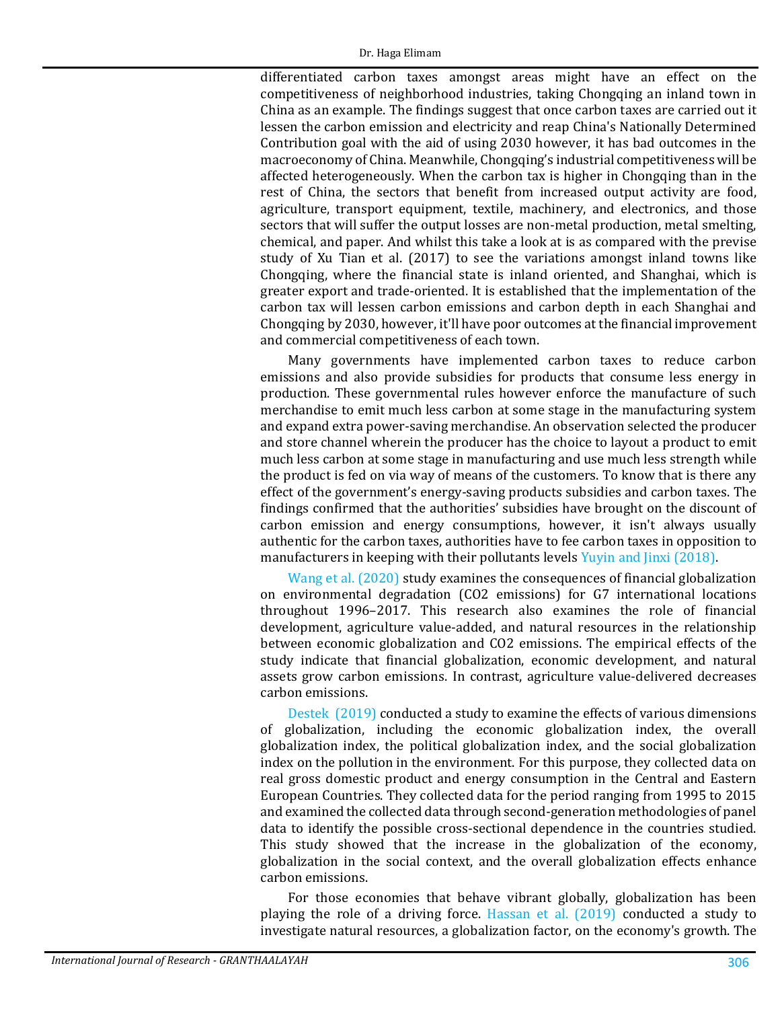differentiated carbon taxes amongst areas might have an effect on the competitiveness of neighborhood industries, taking Chongqing an inland town in China as an example. The findings suggest that once carbon taxes are carried out it lessen the carbon emission and electricity and reap China's Nationally Determined Contribution goal with the aid of using 2030 however, it has bad outcomes in the macroeconomy of China. Meanwhile, Chongqing's industrial competitiveness will be affected heterogeneously. When the carbon tax is higher in Chongqing than in the rest of China, the sectors that benefit from increased output activity are food, agriculture, transport equipment, textile, machinery, and electronics, and those sectors that will suffer the output losses are non-metal production, metal smelting, chemical, and paper. And whilst this take a look at is as compared with the previse study of Xu Tian et al. (2017) to see the variations amongst inland towns like Chongqing, where the financial state is inland oriented, and Shanghai, which is greater export and trade-oriented. It is established that the implementation of the carbon tax will lessen carbon emissions and carbon depth in each Shanghai and Chongqing by 2030, however, it'll have poor outcomes at the financial improvement and commercial competitiveness of each town.

Many governments have implemented carbon taxes to reduce carbon emissions and also provide subsidies for products that consume less energy in production. These governmental rules however enforce the manufacture of such merchandise to emit much less carbon at some stage in the manufacturing system and expand extra power-saving merchandise. An observation selected the producer and store channel wherein the producer has the choice to layout a product to emit much less carbon at some stage in manufacturing and use much less strength while the product is fed on via way of means of the customers. To know that is there any effect of the government's energy-saving products subsidies and carbon taxes. The findings confirmed that the authorities' subsidies have brought on the discount of carbon emission and energy consumptions, however, it isn't always usually authentic for the carbon taxes, authorities have to fee carbon taxes in opposition to manufacturers in keeping with their pollutants levels [Yuyin and Jinxi \(2018\).](#page-11-1)

[Wang et al. \(2020\)](#page-10-10) study examines the consequences of financial globalization on environmental degradation (CO2 emissions) for G7 international locations throughout 1996–2017. This research also examines the role of financial development, agriculture value-added, and natural resources in the relationship between economic globalization and CO2 emissions. The empirical effects of the study indicate that financial globalization, economic development, and natural assets grow carbon emissions. In contrast, agriculture value-delivered decreases carbon emissions.

[Destek \(2019\)](#page-9-3) conducted a study to examine the effects of various dimensions of globalization, including the economic globalization index, the overall globalization index, the political globalization index, and the social globalization index on the pollution in the environment. For this purpose, they collected data on real gross domestic product and energy consumption in the Central and Eastern European Countries. They collected data for the period ranging from 1995 to 2015 and examined the collected data through second-generation methodologies of panel data to identify the possible cross-sectional dependence in the countries studied. This study showed that the increase in the globalization of the economy, globalization in the social context, and the overall globalization effects enhance carbon emissions.

For those economies that behave vibrant globally, globalization has been playing the role of a driving force. [Hassan et al. \(2019\)](#page-9-4) conducted a study to investigate natural resources, a globalization factor, on the economy's growth. The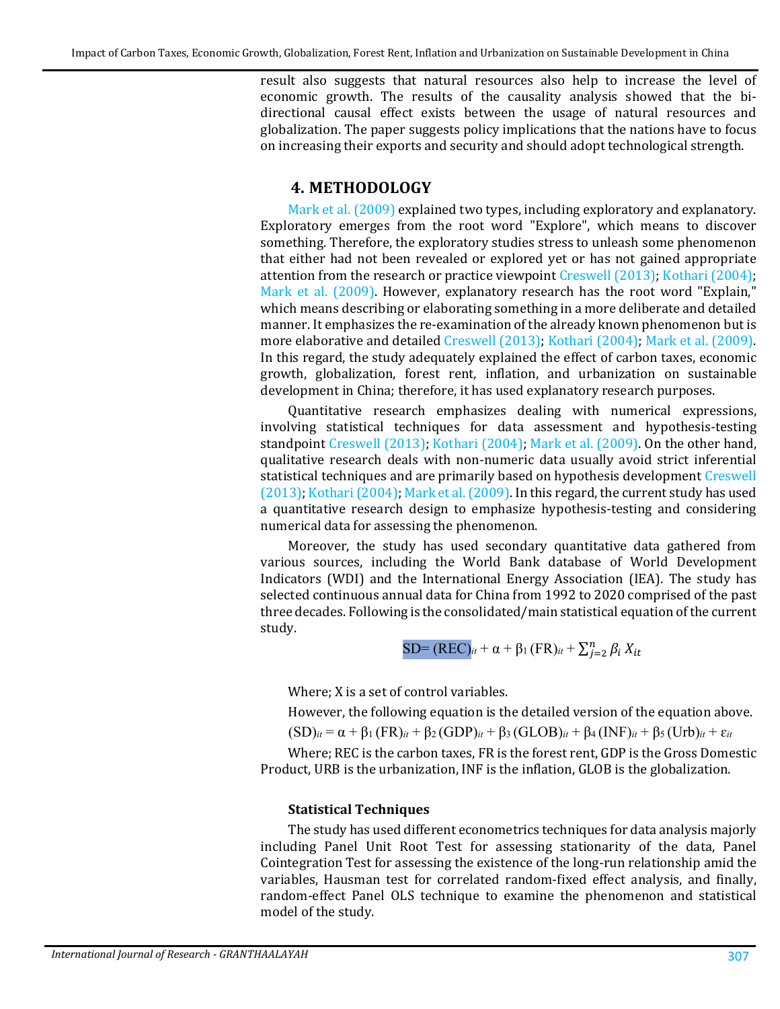result also suggests that natural resources also help to increase the level of economic growth. The results of the causality analysis showed that the bidirectional causal effect exists between the usage of natural resources and globalization. The paper suggests policy implications that the nations have to focus on increasing their exports and security and should adopt technological strength.

#### **4. METHODOLOGY**

[Mark et al. \(2009\)](#page-10-11) explained two types, including exploratory and explanatory. Exploratory emerges from the root word "Explore", which means to discover something. Therefore, the exploratory studies stress to unleash some phenomenon that either had not been revealed or explored yet or has not gained appropriate attention from the research or practice viewpoint [Creswell \(2013\);](#page-9-5) [Kothari \(2004\);](#page-10-12) [Mark et al. \(2009\).](#page-10-11) However, explanatory research has the root word "Explain," which means describing or elaborating something in a more deliberate and detailed manner. It emphasizes the re-examination of the already known phenomenon but is more elaborative and detailed [Creswell \(2013\);](#page-9-5) [Kothari \(2004\);](#page-10-12) [Mark et al. \(2009\).](#page-10-11) In this regard, the study adequately explained the effect of carbon taxes, economic growth, globalization, forest rent, inflation, and urbanization on sustainable development in China; therefore, it has used explanatory research purposes.

Quantitative research emphasizes dealing with numerical expressions, involving statistical techniques for data assessment and hypothesis-testing standpoint [Creswell \(2013\);](#page-9-5) [Kothari \(2004\);](#page-10-12) [Mark et al. \(2009\).](#page-10-11) On the other hand, qualitative research deals with non-numeric data usually avoid strict inferential statistical techniques and are primarily based on hypothesis development [Creswell](#page-9-5)  [\(2013\);](#page-9-5) [Kothari \(2004\);](#page-10-12) [Mark et al. \(2009\).](#page-10-11) In this regard, the current study has used a quantitative research design to emphasize hypothesis-testing and considering numerical data for assessing the phenomenon.

Moreover, the study has used secondary quantitative data gathered from various sources, including the World Bank database of World Development Indicators (WDI) and the International Energy Association (IEA). The study has selected continuous annual data for China from 1992 to 2020 comprised of the past three decades. Following is the consolidated/main statistical equation of the current study.

$$
SD=(REC)_{it} + \alpha + \beta_1 (FR)_{it} + \sum_{j=2}^n \beta_i X_{it}
$$

Where; X is a set of control variables.

However, the following equation is the detailed version of the equation above.

 $(SD)_{it} = \alpha + \beta_1 (FR)_{it} + \beta_2 (GDP)_{it} + \beta_3 (GLOB)_{it} + \beta_4 (INF)_{it} + \beta_5 (Urb)_{it} + \varepsilon_{it}$ 

Where; REC is the carbon taxes, FR is the forest rent, GDP is the Gross Domestic Product, URB is the urbanization, INF is the inflation, GLOB is the globalization.

#### **Statistical Techniques**

The study has used different econometrics techniques for data analysis majorly including Panel Unit Root Test for assessing stationarity of the data, Panel Cointegration Test for assessing the existence of the long-run relationship amid the variables, Hausman test for correlated random-fixed effect analysis, and finally, random-effect Panel OLS technique to examine the phenomenon and statistical model of the study.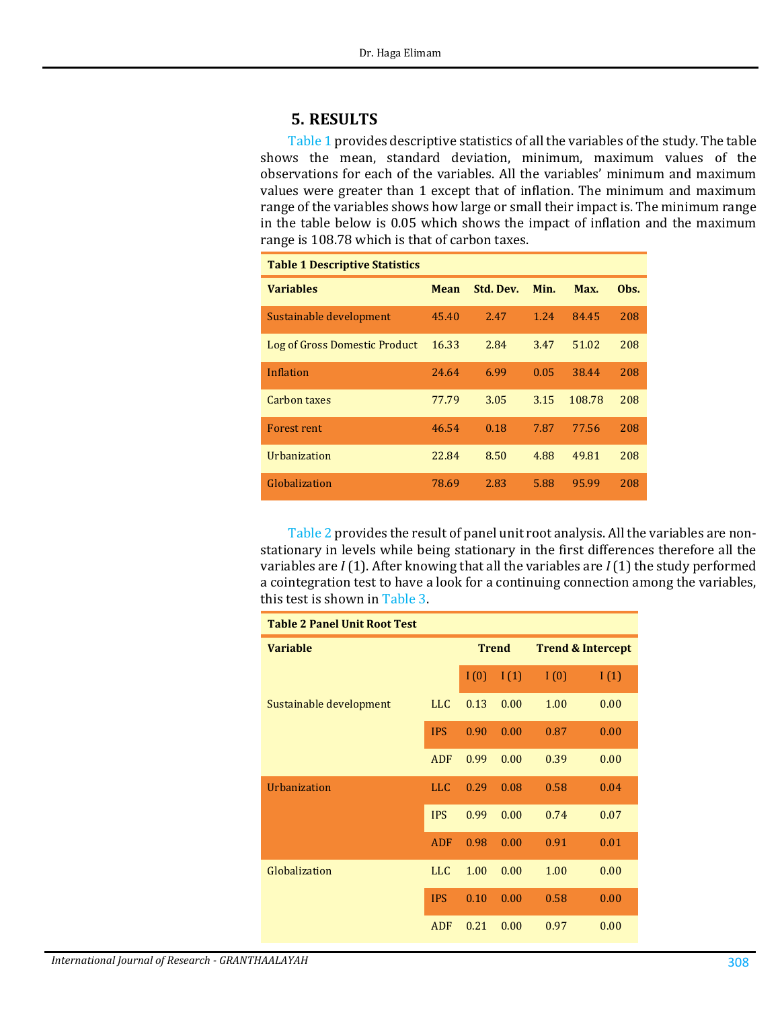# **5. RESULTS**

[Table 1](#page-5-0) provides descriptive statistics of all the variables of the study. The table shows the mean, standard deviation, minimum, maximum values of the observations for each of the variables. All the variables' minimum and maximum values were greater than 1 except that of inflation. The minimum and maximum range of the variables shows how large or small their impact is. The minimum range in the table below is 0.05 which shows the impact of inflation and the maximum range is 108.78 which is that of carbon taxes.

<span id="page-5-0"></span>

| <b>Table 1 Descriptive Statistics</b> |             |           |      |        |      |  |
|---------------------------------------|-------------|-----------|------|--------|------|--|
| <b>Variables</b>                      | <b>Mean</b> | Std. Dev. | Min. | Max.   | Obs. |  |
| Sustainable development               | 45.40       | 2.47      | 1.24 | 84.45  | 208  |  |
| Log of Gross Domestic Product         | 16.33       | 2.84      | 3.47 | 51.02  | 208  |  |
| Inflation                             | 24.64       | 6.99      | 0.05 | 38.44  | 208  |  |
| Carbon taxes                          | 77.79       | 3.05      | 3.15 | 108.78 | 208  |  |
| <b>Forest rent</b>                    | 46.54       | 0.18      | 7.87 | 77.56  | 208  |  |
| Urbanization                          | 22.84       | 8.50      | 4.88 | 49.81  | 208  |  |
| Globalization                         | 78.69       | 2.83      | 5.88 | 95.99  | 208  |  |

[Table 2](#page-5-1) provides the result of panel unit root analysis. All the variables are nonstationary in levels while being stationary in the first differences therefore all the variables are *I* (1). After knowing that all the variables are *I* (1) the study performed a cointegration test to have a look for a continuing connection among the variables, this test is shown in [Table 3.](#page-6-0)

<span id="page-5-1"></span>

| <b>Table 2 Panel Unit Root Test</b> |            |              |      |                              |      |
|-------------------------------------|------------|--------------|------|------------------------------|------|
| <b>Variable</b>                     |            | <b>Trend</b> |      | <b>Trend &amp; Intercept</b> |      |
|                                     |            | I(0)         | I(1) | I(0)                         | I(1) |
| Sustainable development             | <b>LLC</b> | 0.13         | 0.00 | 1.00                         | 0.00 |
|                                     | <b>IPS</b> | 0.90         | 0.00 | 0.87                         | 0.00 |
|                                     | ADF        | 0.99         | 0.00 | 0.39                         | 0.00 |
| Urbanization                        | <b>LLC</b> | 0.29         | 0.08 | 0.58                         | 0.04 |
|                                     | <b>IPS</b> | 0.99         | 0.00 | 0.74                         | 0.07 |
|                                     | <b>ADF</b> | 0.98         | 0.00 | 0.91                         | 0.01 |
| Globalization                       | <b>LLC</b> | 1.00         | 0.00 | 1.00                         | 0.00 |
|                                     | <b>IPS</b> | 0.10         | 0.00 | 0.58                         | 0.00 |
|                                     | ADF        | 0.21         | 0.00 | 0.97                         | 0.00 |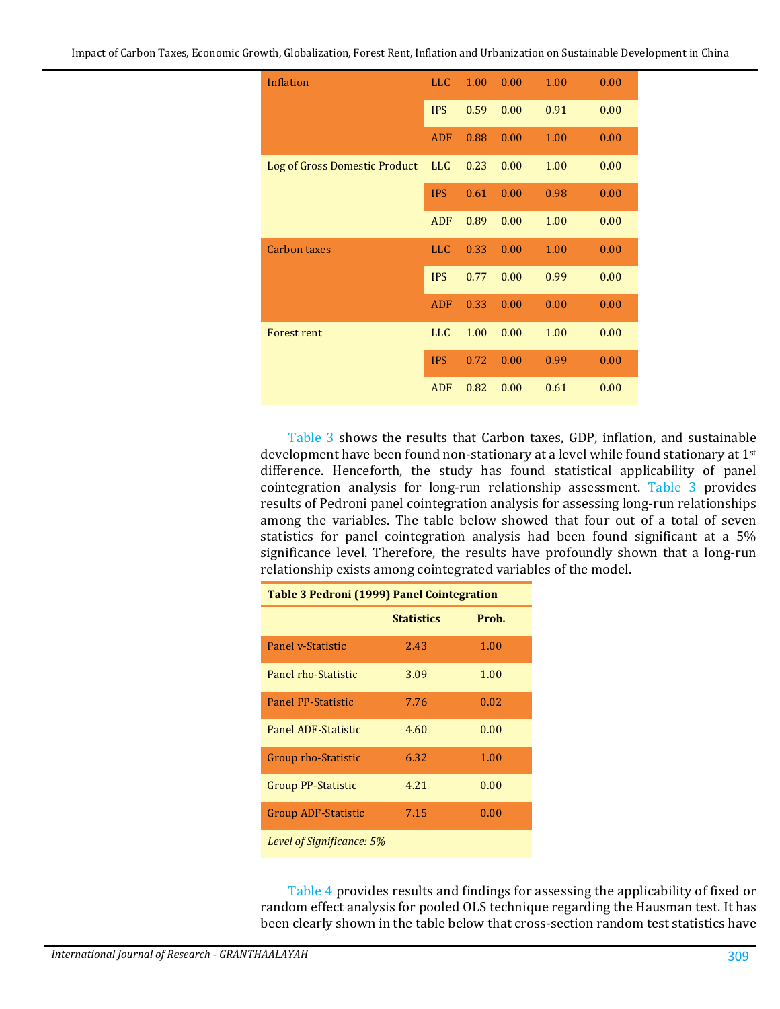| <b>Inflation</b>              | <b>LLC</b> | 1.00 | 0.00 | 1.00 | 0.00 |
|-------------------------------|------------|------|------|------|------|
|                               | <b>IPS</b> | 0.59 | 0.00 | 0.91 | 0.00 |
|                               | <b>ADF</b> | 0.88 | 0.00 | 1.00 | 0.00 |
| Log of Gross Domestic Product | <b>LLC</b> | 0.23 | 0.00 | 1.00 | 0.00 |
|                               | <b>IPS</b> | 0.61 | 0.00 | 0.98 | 0.00 |
|                               | <b>ADF</b> | 0.89 | 0.00 | 1.00 | 0.00 |
| <b>Carbon taxes</b>           | <b>LLC</b> | 0.33 | 0.00 | 1.00 | 0.00 |
|                               | <b>IPS</b> | 0.77 | 0.00 | 0.99 | 0.00 |
|                               | <b>ADF</b> | 0.33 | 0.00 | 0.00 | 0.00 |
| <b>Forest rent</b>            | <b>LLC</b> | 1.00 | 0.00 | 1.00 | 0.00 |
|                               | <b>IPS</b> | 0.72 | 0.00 | 0.99 | 0.00 |
|                               | <b>ADF</b> | 0.82 | 0.00 | 0.61 | 0.00 |

[Table 3](#page-6-0) shows the results that Carbon taxes, GDP, inflation, and sustainable development have been found non-stationary at a level while found stationary at 1st difference. Henceforth, the study has found statistical applicability of panel cointegration analysis for long-run relationship assessment. [Table 3](#page-6-0) provides results of Pedroni panel cointegration analysis for assessing long-run relationships among the variables. The table below showed that four out of a total of seven statistics for panel cointegration analysis had been found significant at a 5% significance level. Therefore, the results have profoundly shown that a long-run relationship exists among cointegrated variables of the model.

<span id="page-6-0"></span>

| <b>Table 3 Pedroni (1999) Panel Cointegration</b> |                   |       |  |  |
|---------------------------------------------------|-------------------|-------|--|--|
|                                                   | <b>Statistics</b> | Prob. |  |  |
| Panel v-Statistic                                 | 2.43              | 1.00  |  |  |
| Panel rho-Statistic                               | 3.09              | 1.00  |  |  |
| Panel PP-Statistic                                | 7.76              | 0.02  |  |  |
| Panel ADF-Statistic                               | 4.60              | 0.00  |  |  |
| Group rho-Statistic                               | 6.32              | 1.00  |  |  |
| <b>Group PP-Statistic</b>                         | 4.21              | 0.00  |  |  |
| <b>Group ADF-Statistic</b>                        | 7.15              | 0.00  |  |  |
| Level of Significance: 5%                         |                   |       |  |  |

[Table 4](#page-7-0) provides results and findings for assessing the applicability of fixed or random effect analysis for pooled OLS technique regarding the Hausman test. It has been clearly shown in the table below that cross-section random test statistics have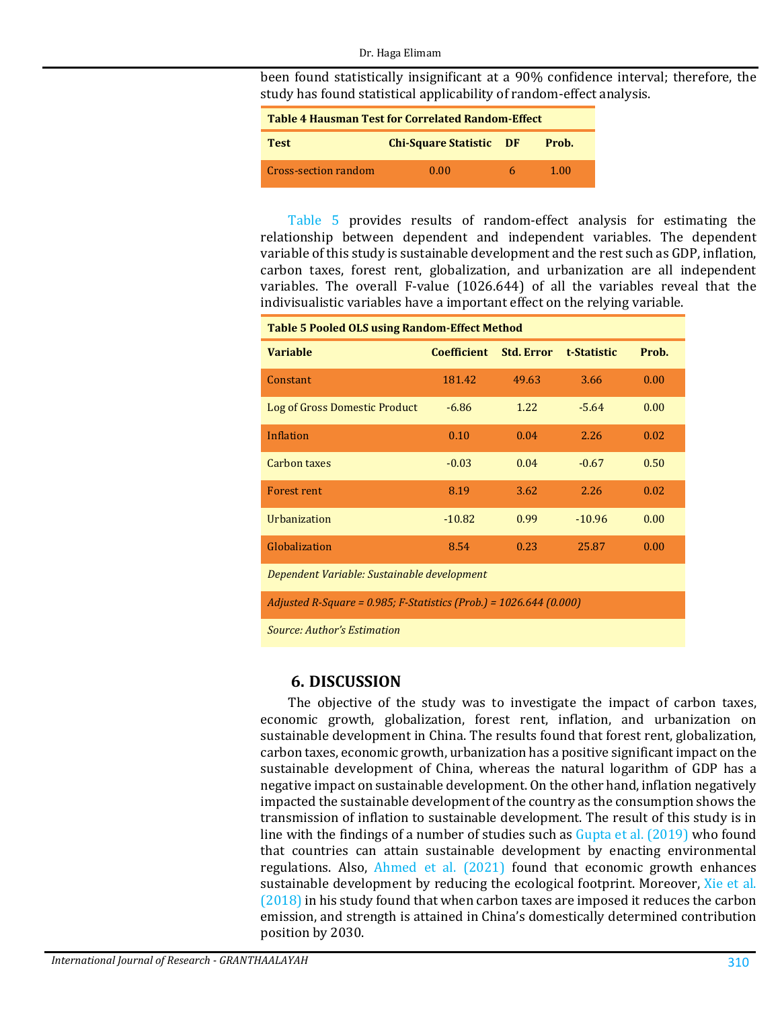#### Dr. Haga Elimam

been found statistically insignificant at a 90% confidence interval; therefore, the study has found statistical applicability of random-effect analysis.

<span id="page-7-0"></span>

| <b>Table 4 Hausman Test for Correlated Random-Effect</b> |                                |   |       |  |  |
|----------------------------------------------------------|--------------------------------|---|-------|--|--|
| <b>Test</b>                                              | <b>Chi-Square Statistic DF</b> |   | Prob. |  |  |
| Cross-section random                                     | 0.00                           | h | 1.00  |  |  |

[Table 5](#page-7-1) provides results of random-effect analysis for estimating the relationship between dependent and independent variables. The dependent variable of this study is sustainable development and the rest such as GDP, inflation, carbon taxes, forest rent, globalization, and urbanization are all independent variables. The overall F-value (1026.644) of all the variables reveal that the indivisualistic variables have a important effect on the relying variable.

<span id="page-7-1"></span>

| <b>Table 5 Pooled OLS using Random-Effect Method</b>               |                    |                   |             |       |  |
|--------------------------------------------------------------------|--------------------|-------------------|-------------|-------|--|
| <b>Variable</b>                                                    | <b>Coefficient</b> | <b>Std. Error</b> | t-Statistic | Prob. |  |
| Constant                                                           | 181.42             | 49.63             | 3.66        | 0.00  |  |
| Log of Gross Domestic Product                                      | $-6.86$            | 1.22              | $-5.64$     | 0.00  |  |
| Inflation                                                          | 0.10               | 0.04              | 2.26        | 0.02  |  |
| <b>Carbon taxes</b>                                                | $-0.03$            | 0.04              | $-0.67$     | 0.50  |  |
| <b>Forest rent</b>                                                 | 8.19               | 3.62              | 2.26        | 0.02  |  |
| <b>Urbanization</b>                                                | $-10.82$           | 0.99              | $-10.96$    | 0.00  |  |
| Globalization                                                      | 8.54               | 0.23              | 25.87       | 0.00  |  |
| Dependent Variable: Sustainable development                        |                    |                   |             |       |  |
| Adjusted R-Square = 0.985; F-Statistics (Prob.) = 1026.644 (0.000) |                    |                   |             |       |  |

*Source: Author's Estimation*

## **6. DISCUSSION**

The objective of the study was to investigate the impact of carbon taxes, economic growth, globalization, forest rent, inflation, and urbanization on sustainable development in China. The results found that forest rent, globalization, carbon taxes, economic growth, urbanization has a positive significant impact on the sustainable development of China, whereas the natural logarithm of GDP has a negative impact on sustainable development. On the other hand, inflation negatively impacted the sustainable development of the country as the consumption shows the transmission of inflation to sustainable development. The result of this study is in line with the findings of a number of studies such as [Gupta et al. \(2019\)](#page-9-0) who found that countries can attain sustainable development by enacting environmental regulations. Also, [Ahmed et al. \(2021\)](#page-9-1) found that economic growth enhances sustainable development by reducing the ecological footprint. Moreover, Xie et al. [\(2018\)](#page-10-9) in his study found that when carbon taxes are imposed it reduces the carbon emission, and strength is attained in China's domestically determined contribution position by 2030.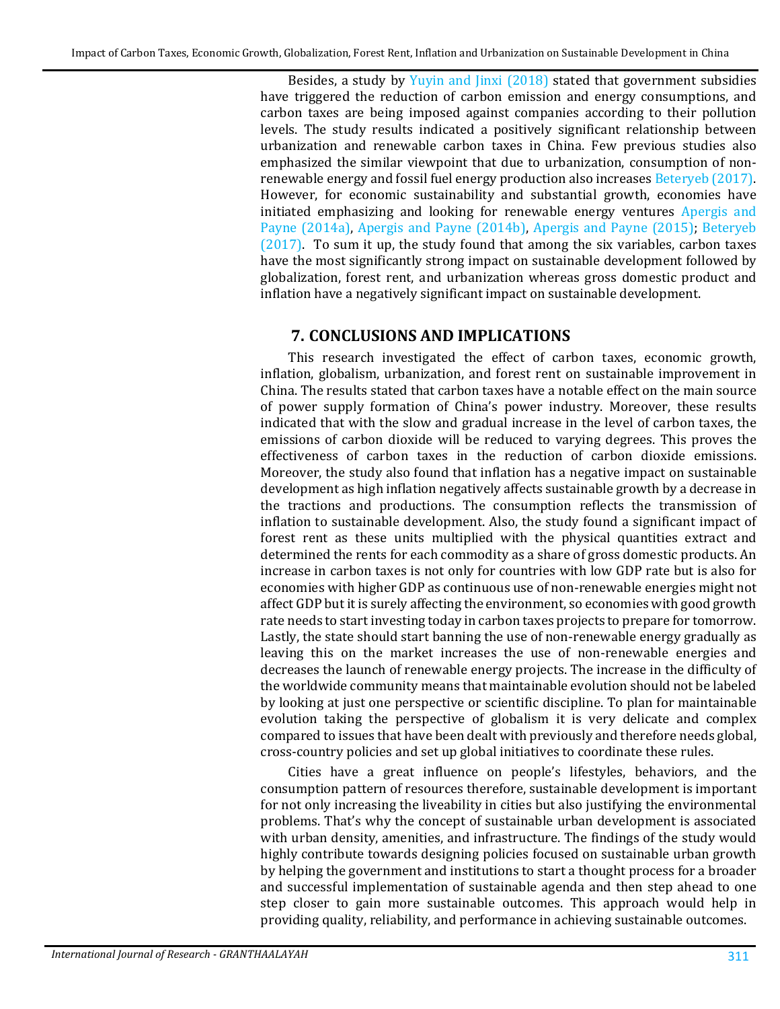Besides, a study by [Yuyin and Jinxi \(2018\)](#page-11-1) stated that government subsidies have triggered the reduction of carbon emission and energy consumptions, and carbon taxes are being imposed against companies according to their pollution levels. The study results indicated a positively significant relationship between urbanization and renewable carbon taxes in China. Few previous studies also emphasized the similar viewpoint that due to urbanization, consumption of nonrenewable energy and fossil fuel energy production also increase[s Beteryeb \(2017\).](#page-9-6) However, for economic sustainability and substantial growth, economies have initiated emphasizing and looking for renewable energy ventures [Apergis and](#page-9-7)  [Payne \(2014a\),](#page-9-7) [Apergis and Payne \(2014b\),](#page-9-8) [Apergis and Payne \(2015\);](#page-9-9) [Beteryeb](#page-9-6)  [\(2017\).](#page-9-6) To sum it up, the study found that among the six variables, carbon taxes have the most significantly strong impact on sustainable development followed by globalization, forest rent, and urbanization whereas gross domestic product and inflation have a negatively significant impact on sustainable development.

## **7. CONCLUSIONS AND IMPLICATIONS**

This research investigated the effect of carbon taxes, economic growth, inflation, globalism, urbanization, and forest rent on sustainable improvement in China. The results stated that carbon taxes have a notable effect on the main source of power supply formation of China's power industry. Moreover, these results indicated that with the slow and gradual increase in the level of carbon taxes, the emissions of carbon dioxide will be reduced to varying degrees. This proves the effectiveness of carbon taxes in the reduction of carbon dioxide emissions. Moreover, the study also found that inflation has a negative impact on sustainable development as high inflation negatively affects sustainable growth by a decrease in the tractions and productions. The consumption reflects the transmission of inflation to sustainable development. Also, the study found a significant impact of forest rent as these units multiplied with the physical quantities extract and determined the rents for each commodity as a share of gross domestic products. An increase in carbon taxes is not only for countries with low GDP rate but is also for economies with higher GDP as continuous use of non-renewable energies might not affect GDP but it is surely affecting the environment, so economies with good growth rate needs to start investing today in carbon taxes projects to prepare for tomorrow. Lastly, the state should start banning the use of non-renewable energy gradually as leaving this on the market increases the use of non-renewable energies and decreases the launch of renewable energy projects. The increase in the difficulty of the worldwide community means that maintainable evolution should not be labeled by looking at just one perspective or scientific discipline. To plan for maintainable evolution taking the perspective of globalism it is very delicate and complex compared to issues that have been dealt with previously and therefore needs global, cross-country policies and set up global initiatives to coordinate these rules.

Cities have a great influence on people's lifestyles, behaviors, and the consumption pattern of resources therefore, sustainable development is important for not only increasing the liveability in cities but also justifying the environmental problems. That's why the concept of sustainable urban development is associated with urban density, amenities, and infrastructure. The findings of the study would highly contribute towards designing policies focused on sustainable urban growth by helping the government and institutions to start a thought process for a broader and successful implementation of sustainable agenda and then step ahead to one step closer to gain more sustainable outcomes. This approach would help in providing quality, reliability, and performance in achieving sustainable outcomes.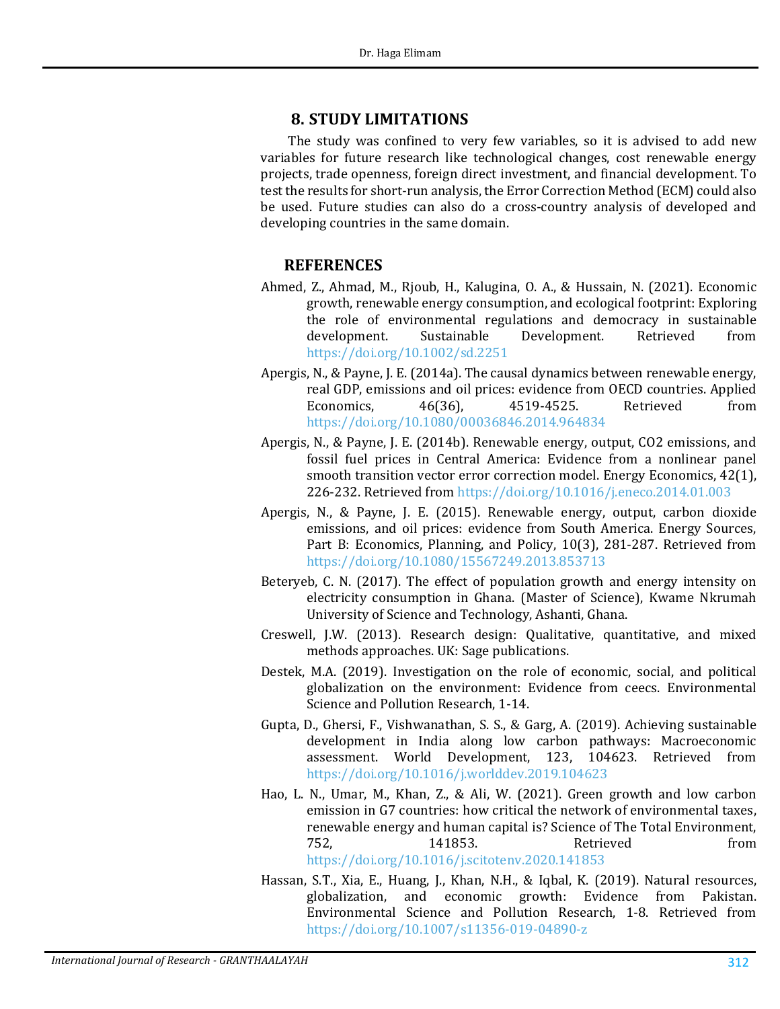#### **8. STUDY LIMITATIONS**

The study was confined to very few variables, so it is advised to add new variables for future research like technological changes, cost renewable energy projects, trade openness, foreign direct investment, and financial development. To test the results for short-run analysis, the Error Correction Method (ECM) could also be used. Future studies can also do a cross-country analysis of developed and developing countries in the same domain.

#### **REFERENCES**

- <span id="page-9-1"></span>Ahmed, Z., Ahmad, M., Rjoub, H., Kalugina, O. A., & Hussain, N. (2021). Economic growth, renewable energy consumption, and ecological footprint: Exploring the role of environmental regulations and democracy in sustainable Development. <https://doi.org/10.1002/sd.2251>
- <span id="page-9-7"></span>Apergis, N., & Payne, J. E. (2014a). The causal dynamics between renewable energy, real GDP, emissions and oil prices: evidence from OECD countries. Applied<br>Economics, 46(36), 4519-4525. Retrieved from 4519-4525. <https://doi.org/10.1080/00036846.2014.964834>
- <span id="page-9-8"></span>Apergis, N., & Payne, J. E. (2014b). Renewable energy, output, CO2 emissions, and fossil fuel prices in Central America: Evidence from a nonlinear panel smooth transition vector error correction model. Energy Economics, 42(1), 226-232. Retrieved from<https://doi.org/10.1016/j.eneco.2014.01.003>
- <span id="page-9-9"></span>Apergis, N., & Payne, J. E. (2015). Renewable energy, output, carbon dioxide emissions, and oil prices: evidence from South America. Energy Sources, Part B: Economics, Planning, and Policy, 10(3), 281-287. Retrieved from <https://doi.org/10.1080/15567249.2013.853713>
- <span id="page-9-6"></span>Beteryeb, C. N. (2017). The effect of population growth and energy intensity on electricity consumption in Ghana. (Master of Science), Kwame Nkrumah University of Science and Technology, Ashanti, Ghana.
- <span id="page-9-5"></span>Creswell, J.W. (2013). Research design: Qualitative, quantitative, and mixed methods approaches. UK: Sage publications.
- <span id="page-9-3"></span>Destek, M.A. (2019). Investigation on the role of economic, social, and political globalization on the environment: Evidence from ceecs. Environmental Science and Pollution Research, 1-14.
- <span id="page-9-0"></span>Gupta, D., Ghersi, F., Vishwanathan, S. S., & Garg, A. (2019). Achieving sustainable development in India along low carbon pathways: Macroeconomic assessment. World Development, 123, 104623. Retrieved from <https://doi.org/10.1016/j.worlddev.2019.104623>
- <span id="page-9-2"></span>Hao, L. N., Umar, M., Khan, Z., & Ali, W. (2021). Green growth and low carbon emission in G7 countries: how critical the network of environmental taxes, renewable energy and human capital is? Science of The Total Environment,<br>752. 141853. Retrieved from 752, 141853. Retrieved from <https://doi.org/10.1016/j.scitotenv.2020.141853>
- <span id="page-9-4"></span>Hassan, S.T., Xia, E., Huang, J., Khan, N.H., & Iqbal, K. (2019). Natural resources,<br>globalization, and economic growth: Evidence from Pakistan. and economic growth: Evidence from Pakistan. Environmental Science and Pollution Research, 1-8. Retrieved from <https://doi.org/10.1007/s11356-019-04890-z>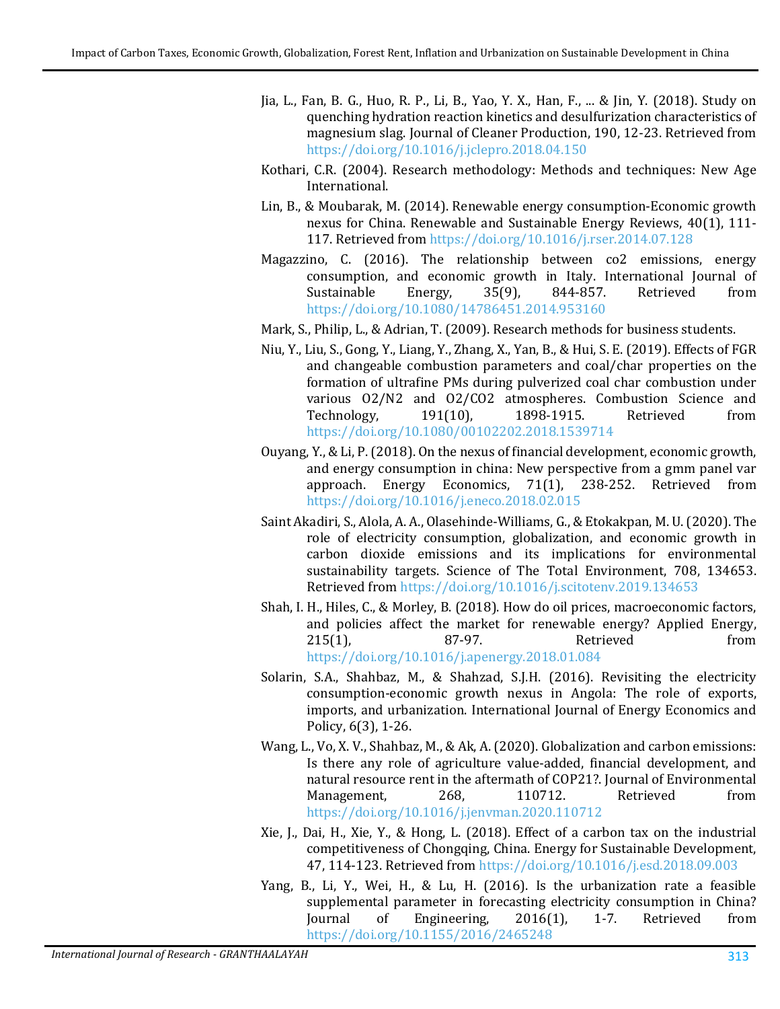- <span id="page-10-6"></span>Jia, L., Fan, B. G., Huo, R. P., Li, B., Yao, Y. X., Han, F., ... & Jin, Y. (2018). Study on quenching hydration reaction kinetics and desulfurization characteristics of magnesium slag. Journal of Cleaner Production, 190, 12-23. Retrieved from <https://doi.org/10.1016/j.jclepro.2018.04.150>
- <span id="page-10-12"></span>Kothari, C.R. (2004). Research methodology: Methods and techniques: New Age International.
- <span id="page-10-1"></span>Lin, B., & Moubarak, M. (2014). Renewable energy consumption-Economic growth nexus for China. Renewable and Sustainable Energy Reviews, 40(1), 111- 117. Retrieved fro[m https://doi.org/10.1016/j.rser.2014.07.128](https://doi.org/10.1016/j.rser.2014.07.128)
- <span id="page-10-2"></span>Magazzino, C. (2016). The relationship between co2 emissions, energy consumption, and economic growth in Italy. International Journal of Sustainable Energy, 35(9), 844-857. Retrieved from Sustainable Energy, 35(9), 844-857. Retrieved from <https://doi.org/10.1080/14786451.2014.953160>
- <span id="page-10-11"></span>Mark, S., Philip, L., & Adrian, T. (2009). Research methods for business students.
- <span id="page-10-7"></span>Niu, Y., Liu, S., Gong, Y., Liang, Y., Zhang, X., Yan, B., & Hui, S. E. (2019). Effects of FGR and changeable combustion parameters and coal/char properties on the formation of ultrafine PMs during pulverized coal char combustion under various 02/N2 and 02/CO2 atmospheres. Combustion Science and<br>Technology. 191(10). 1898-1915. Retrieved from Technology, <https://doi.org/10.1080/00102202.2018.1539714>
- <span id="page-10-3"></span>Ouyang, Y., & Li, P. (2018). On the nexus of financial development, economic growth, and energy consumption in china: New perspective from a gmm panel var approach. Energy Economics, 71(1), 238-252. Retrieved from approach. Energy Economics,  $71(1)$ ,  $238-252$ . <https://doi.org/10.1016/j.eneco.2018.02.015>
- <span id="page-10-8"></span>Saint Akadiri, S., Alola, A. A., Olasehinde-Williams, G., & Etokakpan, M. U. (2020). The role of electricity consumption, globalization, and economic growth in carbon dioxide emissions and its implications for environmental sustainability targets. Science of The Total Environment, 708, 134653. Retrieved fro[m https://doi.org/10.1016/j.scitotenv.2019.134653](https://doi.org/10.1016/j.scitotenv.2019.134653)
- <span id="page-10-0"></span>Shah, I. H., Hiles, C., & Morley, B. (2018). How do oil prices, macroeconomic factors, and policies affect the market for renewable energy? Applied Energy,<br>215(1), 87-97. Retrieved from 215(1), 87-97. Retrieved from <https://doi.org/10.1016/j.apenergy.2018.01.084>
- <span id="page-10-4"></span>Solarin, S.A., Shahbaz, M., & Shahzad, S.J.H. (2016). Revisiting the electricity consumption-economic growth nexus in Angola: The role of exports, imports, and urbanization. International Journal of Energy Economics and Policy, 6(3), 1-26.
- <span id="page-10-10"></span>Wang, L., Vo, X. V., Shahbaz, M., & Ak, A. (2020). Globalization and carbon emissions: Is there any role of agriculture value-added, financial development, and natural resource rent in the aftermath of COP21?. Journal of Environmental<br>Management. 268. 110712. Retrieved from Management, 268, 110712. Retrieved from <https://doi.org/10.1016/j.jenvman.2020.110712>
- <span id="page-10-9"></span>Xie, J., Dai, H., Xie, Y., & Hong, L. (2018). Effect of a carbon tax on the industrial competitiveness of Chongqing, China. Energy for Sustainable Development, 47, 114-123. Retrieved from <https://doi.org/10.1016/j.esd.2018.09.003>
- <span id="page-10-5"></span>Yang, B., Li, Y., Wei, H., & Lu, H. (2016). Is the urbanization rate a feasible supplemental parameter in forecasting electricity consumption in China?<br>Journal of Engineering, 2016(1), 1-7. Retrieved from Engineering, <https://doi.org/10.1155/2016/2465248>